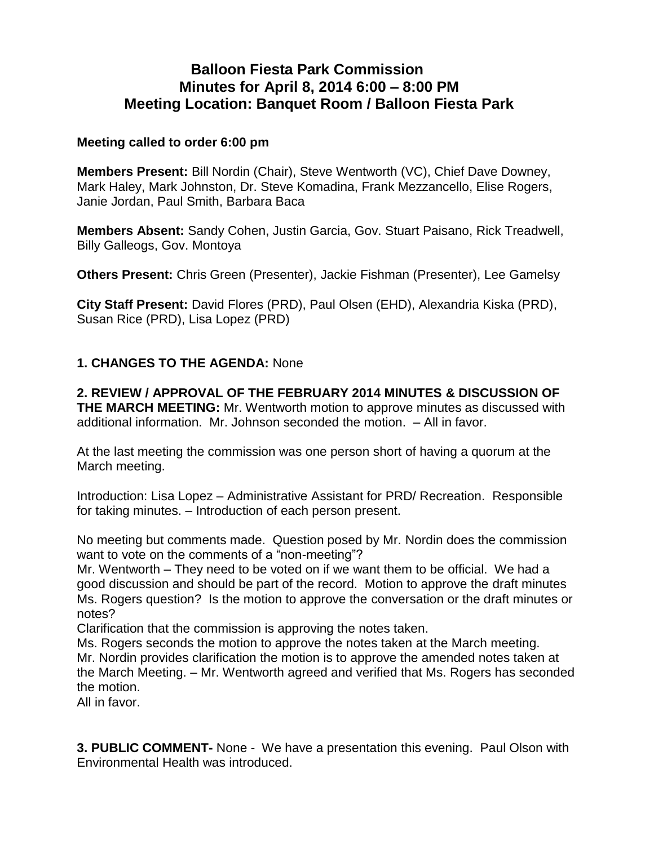# **Balloon Fiesta Park Commission Minutes for April 8, 2014 6:00 – 8:00 PM Meeting Location: Banquet Room / Balloon Fiesta Park**

#### **Meeting called to order 6:00 pm**

**Members Present:** Bill Nordin (Chair), Steve Wentworth (VC), Chief Dave Downey, Mark Haley, Mark Johnston, Dr. Steve Komadina, Frank Mezzancello, Elise Rogers, Janie Jordan, Paul Smith, Barbara Baca

**Members Absent:** Sandy Cohen, Justin Garcia, Gov. Stuart Paisano, Rick Treadwell, Billy Galleogs, Gov. Montoya

**Others Present:** Chris Green (Presenter), Jackie Fishman (Presenter), Lee Gamelsy

**City Staff Present:** David Flores (PRD), Paul Olsen (EHD), Alexandria Kiska (PRD), Susan Rice (PRD), Lisa Lopez (PRD)

## **1. CHANGES TO THE AGENDA:** None

**2. REVIEW / APPROVAL OF THE FEBRUARY 2014 MINUTES & DISCUSSION OF THE MARCH MEETING:** Mr. Wentworth motion to approve minutes as discussed with additional information. Mr. Johnson seconded the motion. – All in favor.

At the last meeting the commission was one person short of having a quorum at the March meeting.

Introduction: Lisa Lopez – Administrative Assistant for PRD/ Recreation. Responsible for taking minutes. – Introduction of each person present.

No meeting but comments made. Question posed by Mr. Nordin does the commission want to vote on the comments of a "non-meeting"?

Mr. Wentworth – They need to be voted on if we want them to be official. We had a good discussion and should be part of the record. Motion to approve the draft minutes Ms. Rogers question? Is the motion to approve the conversation or the draft minutes or notes?

Clarification that the commission is approving the notes taken.

Ms. Rogers seconds the motion to approve the notes taken at the March meeting. Mr. Nordin provides clarification the motion is to approve the amended notes taken at the March Meeting. – Mr. Wentworth agreed and verified that Ms. Rogers has seconded the motion.

All in favor.

**3. PUBLIC COMMENT-** None - We have a presentation this evening. Paul Olson with Environmental Health was introduced.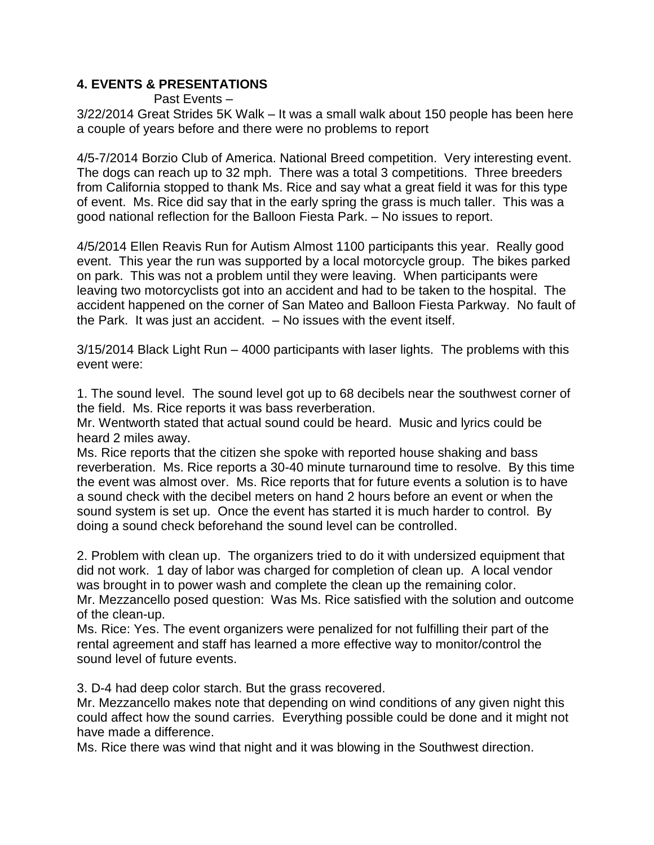## **4. EVENTS & PRESENTATIONS**

Past Events – 3/22/2014 Great Strides 5K Walk – It was a small walk about 150 people has been here a couple of years before and there were no problems to report

4/5-7/2014 Borzio Club of America. National Breed competition. Very interesting event. The dogs can reach up to 32 mph. There was a total 3 competitions. Three breeders from California stopped to thank Ms. Rice and say what a great field it was for this type of event. Ms. Rice did say that in the early spring the grass is much taller. This was a good national reflection for the Balloon Fiesta Park. – No issues to report.

4/5/2014 Ellen Reavis Run for Autism Almost 1100 participants this year. Really good event. This year the run was supported by a local motorcycle group. The bikes parked on park. This was not a problem until they were leaving. When participants were leaving two motorcyclists got into an accident and had to be taken to the hospital. The accident happened on the corner of San Mateo and Balloon Fiesta Parkway. No fault of the Park. It was just an accident. – No issues with the event itself.

3/15/2014 Black Light Run – 4000 participants with laser lights. The problems with this event were:

1. The sound level. The sound level got up to 68 decibels near the southwest corner of the field. Ms. Rice reports it was bass reverberation.

Mr. Wentworth stated that actual sound could be heard. Music and lyrics could be heard 2 miles away.

Ms. Rice reports that the citizen she spoke with reported house shaking and bass reverberation. Ms. Rice reports a 30-40 minute turnaround time to resolve. By this time the event was almost over. Ms. Rice reports that for future events a solution is to have a sound check with the decibel meters on hand 2 hours before an event or when the sound system is set up. Once the event has started it is much harder to control. By doing a sound check beforehand the sound level can be controlled.

2. Problem with clean up. The organizers tried to do it with undersized equipment that did not work. 1 day of labor was charged for completion of clean up. A local vendor was brought in to power wash and complete the clean up the remaining color. Mr. Mezzancello posed question: Was Ms. Rice satisfied with the solution and outcome of the clean-up.

Ms. Rice: Yes. The event organizers were penalized for not fulfilling their part of the rental agreement and staff has learned a more effective way to monitor/control the sound level of future events.

3. D-4 had deep color starch. But the grass recovered.

Mr. Mezzancello makes note that depending on wind conditions of any given night this could affect how the sound carries. Everything possible could be done and it might not have made a difference.

Ms. Rice there was wind that night and it was blowing in the Southwest direction.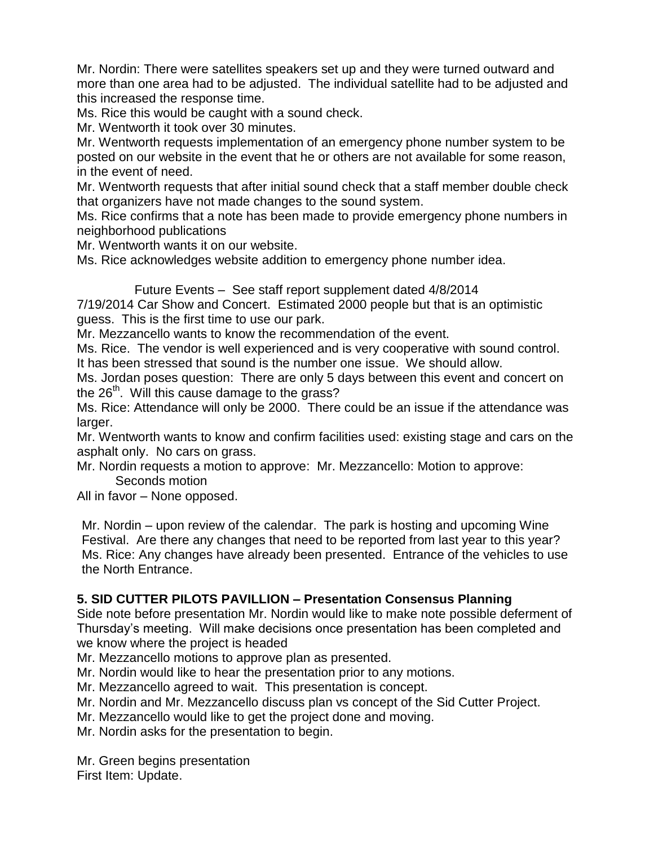Mr. Nordin: There were satellites speakers set up and they were turned outward and more than one area had to be adjusted. The individual satellite had to be adjusted and this increased the response time.

Ms. Rice this would be caught with a sound check.

Mr. Wentworth it took over 30 minutes.

Mr. Wentworth requests implementation of an emergency phone number system to be posted on our website in the event that he or others are not available for some reason, in the event of need.

Mr. Wentworth requests that after initial sound check that a staff member double check that organizers have not made changes to the sound system.

Ms. Rice confirms that a note has been made to provide emergency phone numbers in neighborhood publications

Mr. Wentworth wants it on our website.

Ms. Rice acknowledges website addition to emergency phone number idea.

Future Events – See staff report supplement dated 4/8/2014 7/19/2014 Car Show and Concert. Estimated 2000 people but that is an optimistic

guess. This is the first time to use our park.

Mr. Mezzancello wants to know the recommendation of the event.

Ms. Rice. The vendor is well experienced and is very cooperative with sound control. It has been stressed that sound is the number one issue. We should allow.

Ms. Jordan poses question: There are only 5 days between this event and concert on the  $26<sup>th</sup>$ . Will this cause damage to the grass?

Ms. Rice: Attendance will only be 2000. There could be an issue if the attendance was larger.

Mr. Wentworth wants to know and confirm facilities used: existing stage and cars on the asphalt only. No cars on grass.

Mr. Nordin requests a motion to approve: Mr. Mezzancello: Motion to approve: Seconds motion

All in favor – None opposed.

Mr. Nordin – upon review of the calendar. The park is hosting and upcoming Wine Festival. Are there any changes that need to be reported from last year to this year? Ms. Rice: Any changes have already been presented. Entrance of the vehicles to use the North Entrance.

#### **5. SID CUTTER PILOTS PAVILLION – Presentation Consensus Planning**

Side note before presentation Mr. Nordin would like to make note possible deferment of Thursday's meeting. Will make decisions once presentation has been completed and we know where the project is headed

Mr. Mezzancello motions to approve plan as presented.

Mr. Nordin would like to hear the presentation prior to any motions.

Mr. Mezzancello agreed to wait. This presentation is concept.

Mr. Nordin and Mr. Mezzancello discuss plan vs concept of the Sid Cutter Project.

Mr. Mezzancello would like to get the project done and moving.

Mr. Nordin asks for the presentation to begin.

Mr. Green begins presentation

First Item: Update.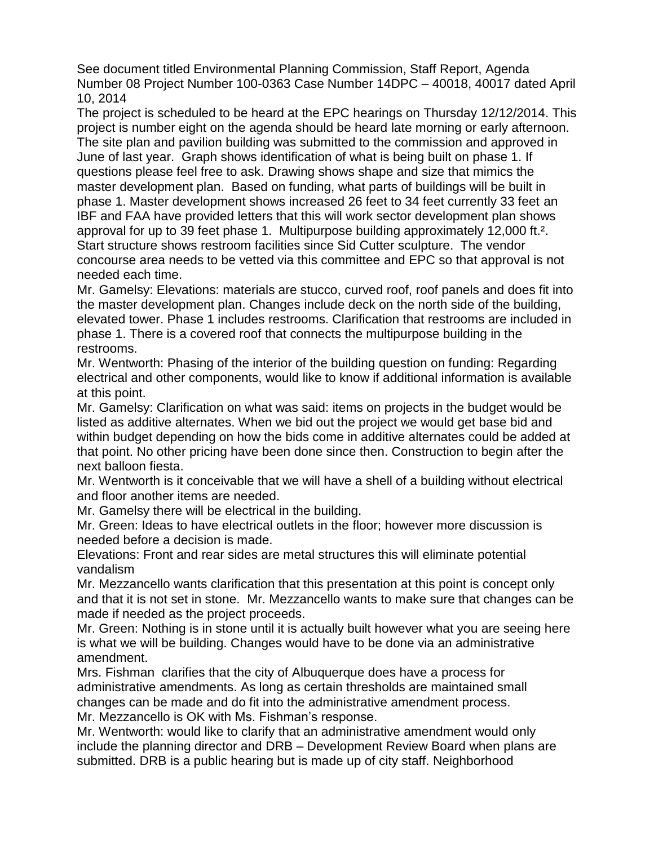See document titled Environmental Planning Commission, Staff Report, Agenda Number 08 Project Number 100-0363 Case Number 14DPC – 40018, 40017 dated April 10, 2014

The project is scheduled to be heard at the EPC hearings on Thursday 12/12/2014. This project is number eight on the agenda should be heard late morning or early afternoon. The site plan and pavilion building was submitted to the commission and approved in June of last year. Graph shows identification of what is being built on phase 1. If questions please feel free to ask. Drawing shows shape and size that mimics the master development plan. Based on funding, what parts of buildings will be built in phase 1. Master development shows increased 26 feet to 34 feet currently 33 feet an IBF and FAA have provided letters that this will work sector development plan shows approval for up to 39 feet phase 1. Multipurpose building approximately 12,000 ft.². Start structure shows restroom facilities since Sid Cutter sculpture. The vendor concourse area needs to be vetted via this committee and EPC so that approval is not needed each time.

Mr. Gamelsy: Elevations: materials are stucco, curved roof, roof panels and does fit into the master development plan. Changes include deck on the north side of the building, elevated tower. Phase 1 includes restrooms. Clarification that restrooms are included in phase 1. There is a covered roof that connects the multipurpose building in the restrooms.

Mr. Wentworth: Phasing of the interior of the building question on funding: Regarding electrical and other components, would like to know if additional information is available at this point.

Mr. Gamelsy: Clarification on what was said: items on projects in the budget would be listed as additive alternates. When we bid out the project we would get base bid and within budget depending on how the bids come in additive alternates could be added at that point. No other pricing have been done since then. Construction to begin after the next balloon fiesta.

Mr. Wentworth is it conceivable that we will have a shell of a building without electrical and floor another items are needed.

Mr. Gamelsy there will be electrical in the building.

Mr. Green: Ideas to have electrical outlets in the floor; however more discussion is needed before a decision is made.

Elevations: Front and rear sides are metal structures this will eliminate potential vandalism

Mr. Mezzancello wants clarification that this presentation at this point is concept only and that it is not set in stone. Mr. Mezzancello wants to make sure that changes can be made if needed as the project proceeds.

Mr. Green: Nothing is in stone until it is actually built however what you are seeing here is what we will be building. Changes would have to be done via an administrative amendment.

Mrs. Fishman clarifies that the city of Albuquerque does have a process for administrative amendments. As long as certain thresholds are maintained small changes can be made and do fit into the administrative amendment process. Mr. Mezzancello is OK with Ms. Fishman's response.

Mr. Wentworth: would like to clarify that an administrative amendment would only include the planning director and DRB – Development Review Board when plans are submitted. DRB is a public hearing but is made up of city staff. Neighborhood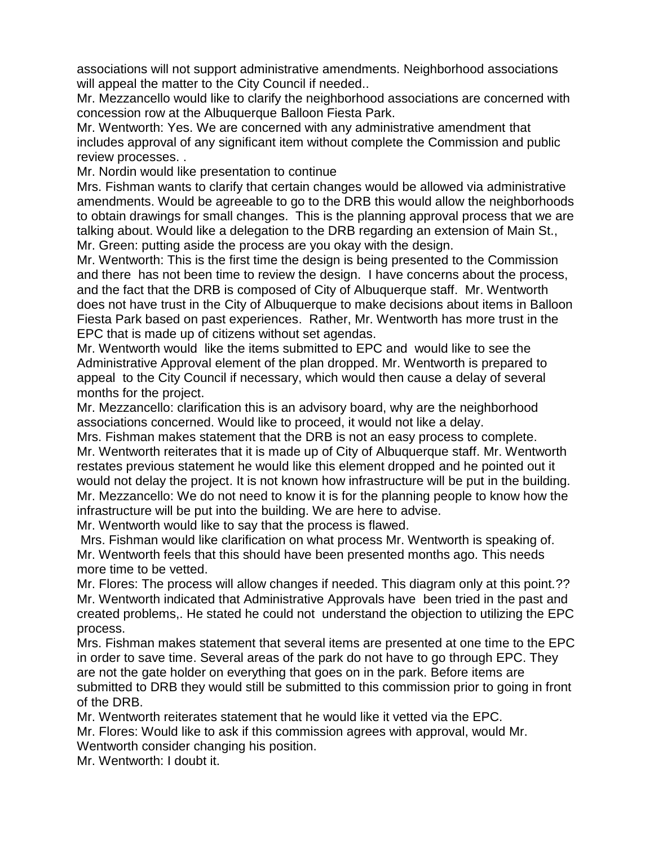associations will not support administrative amendments. Neighborhood associations will appeal the matter to the City Council if needed..

Mr. Mezzancello would like to clarify the neighborhood associations are concerned with concession row at the Albuquerque Balloon Fiesta Park.

Mr. Wentworth: Yes. We are concerned with any administrative amendment that includes approval of any significant item without complete the Commission and public review processes. .

Mr. Nordin would like presentation to continue

Mrs. Fishman wants to clarify that certain changes would be allowed via administrative amendments. Would be agreeable to go to the DRB this would allow the neighborhoods to obtain drawings for small changes. This is the planning approval process that we are talking about. Would like a delegation to the DRB regarding an extension of Main St., Mr. Green: putting aside the process are you okay with the design.

Mr. Wentworth: This is the first time the design is being presented to the Commission and there has not been time to review the design. I have concerns about the process, and the fact that the DRB is composed of City of Albuquerque staff. Mr. Wentworth does not have trust in the City of Albuquerque to make decisions about items in Balloon Fiesta Park based on past experiences. Rather, Mr. Wentworth has more trust in the EPC that is made up of citizens without set agendas.

Mr. Wentworth would like the items submitted to EPC and would like to see the Administrative Approval element of the plan dropped. Mr. Wentworth is prepared to appeal to the City Council if necessary, which would then cause a delay of several months for the project.

Mr. Mezzancello: clarification this is an advisory board, why are the neighborhood associations concerned. Would like to proceed, it would not like a delay.

Mrs. Fishman makes statement that the DRB is not an easy process to complete. Mr. Wentworth reiterates that it is made up of City of Albuquerque staff. Mr. Wentworth restates previous statement he would like this element dropped and he pointed out it would not delay the project. It is not known how infrastructure will be put in the building. Mr. Mezzancello: We do not need to know it is for the planning people to know how the infrastructure will be put into the building. We are here to advise.

Mr. Wentworth would like to say that the process is flawed.

Mrs. Fishman would like clarification on what process Mr. Wentworth is speaking of. Mr. Wentworth feels that this should have been presented months ago. This needs more time to be vetted.

Mr. Flores: The process will allow changes if needed. This diagram only at this point.?? Mr. Wentworth indicated that Administrative Approvals have been tried in the past and created problems,. He stated he could not understand the objection to utilizing the EPC process.

Mrs. Fishman makes statement that several items are presented at one time to the EPC in order to save time. Several areas of the park do not have to go through EPC. They are not the gate holder on everything that goes on in the park. Before items are submitted to DRB they would still be submitted to this commission prior to going in front of the DRB.

Mr. Wentworth reiterates statement that he would like it vetted via the EPC.

Mr. Flores: Would like to ask if this commission agrees with approval, would Mr. Wentworth consider changing his position.

Mr. Wentworth: I doubt it.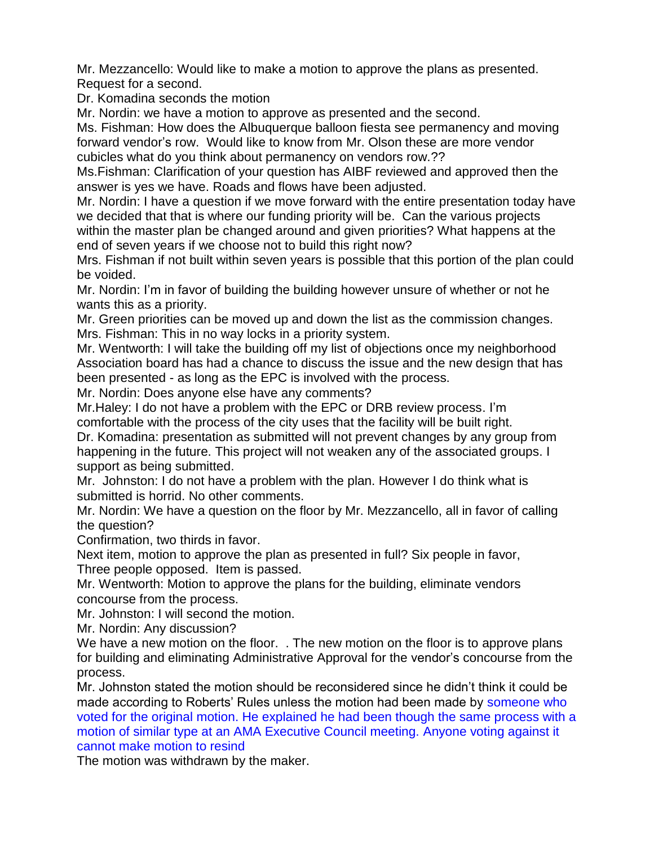Mr. Mezzancello: Would like to make a motion to approve the plans as presented. Request for a second.

Dr. Komadina seconds the motion

Mr. Nordin: we have a motion to approve as presented and the second.

Ms. Fishman: How does the Albuquerque balloon fiesta see permanency and moving forward vendor's row. Would like to know from Mr. Olson these are more vendor cubicles what do you think about permanency on vendors row.??

Ms.Fishman: Clarification of your question has AIBF reviewed and approved then the answer is yes we have. Roads and flows have been adjusted.

Mr. Nordin: I have a question if we move forward with the entire presentation today have we decided that that is where our funding priority will be. Can the various projects within the master plan be changed around and given priorities? What happens at the end of seven years if we choose not to build this right now?

Mrs. Fishman if not built within seven years is possible that this portion of the plan could be voided.

Mr. Nordin: I'm in favor of building the building however unsure of whether or not he wants this as a priority.

Mr. Green priorities can be moved up and down the list as the commission changes. Mrs. Fishman: This in no way locks in a priority system.

Mr. Wentworth: I will take the building off my list of objections once my neighborhood Association board has had a chance to discuss the issue and the new design that has been presented - as long as the EPC is involved with the process.

Mr. Nordin: Does anyone else have any comments?

Mr.Haley: I do not have a problem with the EPC or DRB review process. I'm comfortable with the process of the city uses that the facility will be built right.

Dr. Komadina: presentation as submitted will not prevent changes by any group from happening in the future. This project will not weaken any of the associated groups. I support as being submitted.

Mr. Johnston: I do not have a problem with the plan. However I do think what is submitted is horrid. No other comments.

Mr. Nordin: We have a question on the floor by Mr. Mezzancello, all in favor of calling the question?

Confirmation, two thirds in favor.

Next item, motion to approve the plan as presented in full? Six people in favor, Three people opposed. Item is passed.

Mr. Wentworth: Motion to approve the plans for the building, eliminate vendors concourse from the process.

Mr. Johnston: I will second the motion.

Mr. Nordin: Any discussion?

We have a new motion on the floor. . The new motion on the floor is to approve plans for building and eliminating Administrative Approval for the vendor's concourse from the process.

Mr. Johnston stated the motion should be reconsidered since he didn't think it could be made according to Roberts' Rules unless the motion had been made by someone who voted for the original motion. He explained he had been though the same process with a motion of similar type at an AMA Executive Council meeting. Anyone voting against it cannot make motion to resind

The motion was withdrawn by the maker.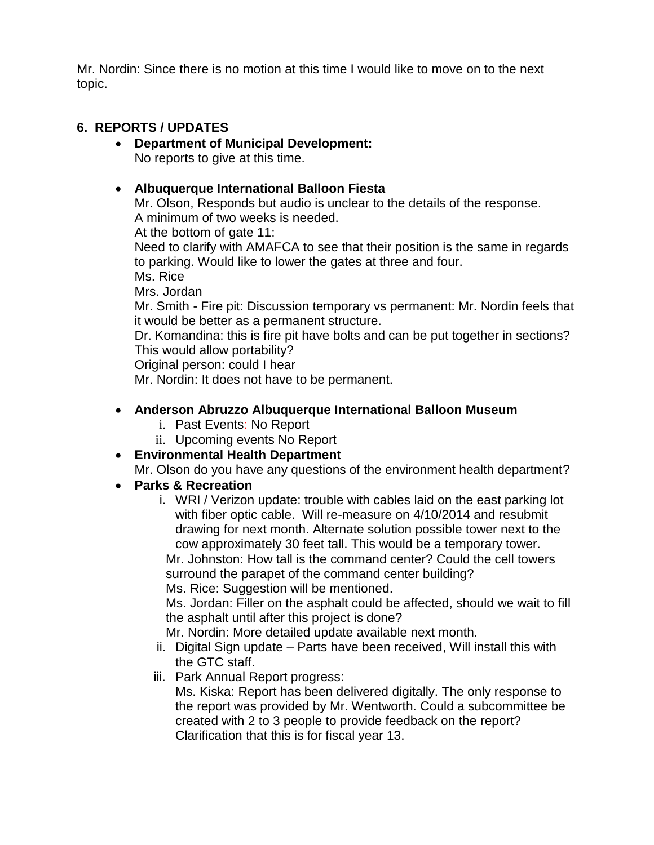Mr. Nordin: Since there is no motion at this time I would like to move on to the next topic.

## **6. REPORTS / UPDATES**

#### **Department of Municipal Development:**  No reports to give at this time.

#### **Albuquerque International Balloon Fiesta**

Mr. Olson, Responds but audio is unclear to the details of the response. A minimum of two weeks is needed.

At the bottom of gate 11:

Need to clarify with AMAFCA to see that their position is the same in regards to parking. Would like to lower the gates at three and four.

Ms. Rice

Mrs. Jordan

Mr. Smith - Fire pit: Discussion temporary vs permanent: Mr. Nordin feels that it would be better as a permanent structure.

Dr. Komandina: this is fire pit have bolts and can be put together in sections? This would allow portability?

Original person: could I hear

Mr. Nordin: It does not have to be permanent.

## **Anderson Abruzzo Albuquerque International Balloon Museum**

- i. Past Events: No Report
- ii. Upcoming events No Report
- **Environmental Health Department**

Mr. Olson do you have any questions of the environment health department?

# **Parks & Recreation**

i. WRI / Verizon update: trouble with cables laid on the east parking lot with fiber optic cable. Will re-measure on 4/10/2014 and resubmit drawing for next month. Alternate solution possible tower next to the cow approximately 30 feet tall. This would be a temporary tower.

Mr. Johnston: How tall is the command center? Could the cell towers surround the parapet of the command center building?

Ms. Rice: Suggestion will be mentioned.

Ms. Jordan: Filler on the asphalt could be affected, should we wait to fill the asphalt until after this project is done?

Mr. Nordin: More detailed update available next month.

- ii. Digital Sign update Parts have been received, Will install this with the GTC staff.
- iii. Park Annual Report progress:

Ms. Kiska: Report has been delivered digitally. The only response to the report was provided by Mr. Wentworth. Could a subcommittee be created with 2 to 3 people to provide feedback on the report? Clarification that this is for fiscal year 13.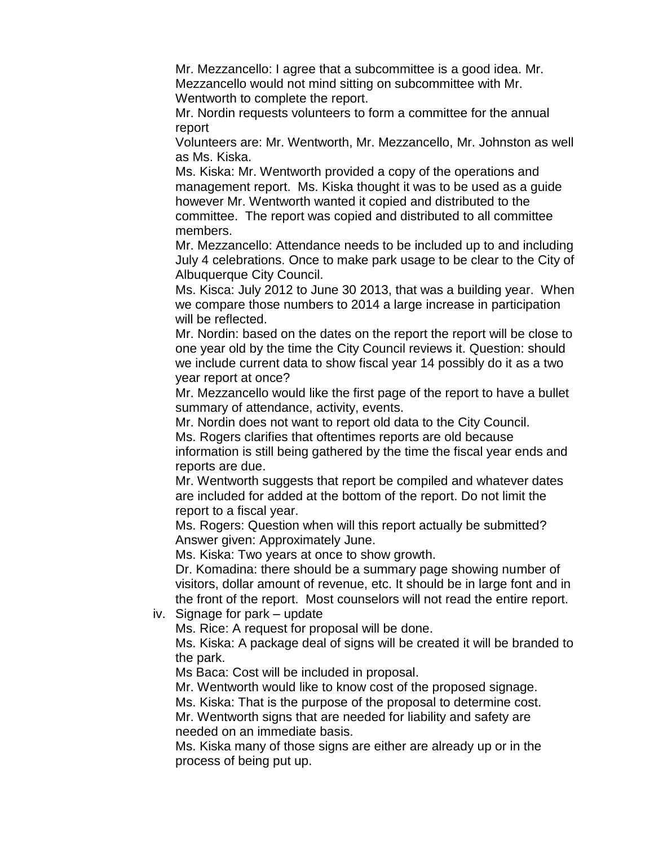Mr. Mezzancello: I agree that a subcommittee is a good idea. Mr. Mezzancello would not mind sitting on subcommittee with Mr. Wentworth to complete the report.

Mr. Nordin requests volunteers to form a committee for the annual report

Volunteers are: Mr. Wentworth, Mr. Mezzancello, Mr. Johnston as well as Ms. Kiska.

Ms. Kiska: Mr. Wentworth provided a copy of the operations and management report. Ms. Kiska thought it was to be used as a guide however Mr. Wentworth wanted it copied and distributed to the committee. The report was copied and distributed to all committee members.

Mr. Mezzancello: Attendance needs to be included up to and including July 4 celebrations. Once to make park usage to be clear to the City of Albuquerque City Council.

Ms. Kisca: July 2012 to June 30 2013, that was a building year. When we compare those numbers to 2014 a large increase in participation will be reflected.

Mr. Nordin: based on the dates on the report the report will be close to one year old by the time the City Council reviews it. Question: should we include current data to show fiscal year 14 possibly do it as a two year report at once?

Mr. Mezzancello would like the first page of the report to have a bullet summary of attendance, activity, events.

Mr. Nordin does not want to report old data to the City Council. Ms. Rogers clarifies that oftentimes reports are old because

information is still being gathered by the time the fiscal year ends and reports are due.

Mr. Wentworth suggests that report be compiled and whatever dates are included for added at the bottom of the report. Do not limit the report to a fiscal year.

Ms. Rogers: Question when will this report actually be submitted? Answer given: Approximately June.

Ms. Kiska: Two years at once to show growth.

Dr. Komadina: there should be a summary page showing number of visitors, dollar amount of revenue, etc. It should be in large font and in the front of the report. Most counselors will not read the entire report.

iv. Signage for park – update

Ms. Rice: A request for proposal will be done.

Ms. Kiska: A package deal of signs will be created it will be branded to the park.

Ms Baca: Cost will be included in proposal.

Mr. Wentworth would like to know cost of the proposed signage.

Ms. Kiska: That is the purpose of the proposal to determine cost.

Mr. Wentworth signs that are needed for liability and safety are needed on an immediate basis.

Ms. Kiska many of those signs are either are already up or in the process of being put up.